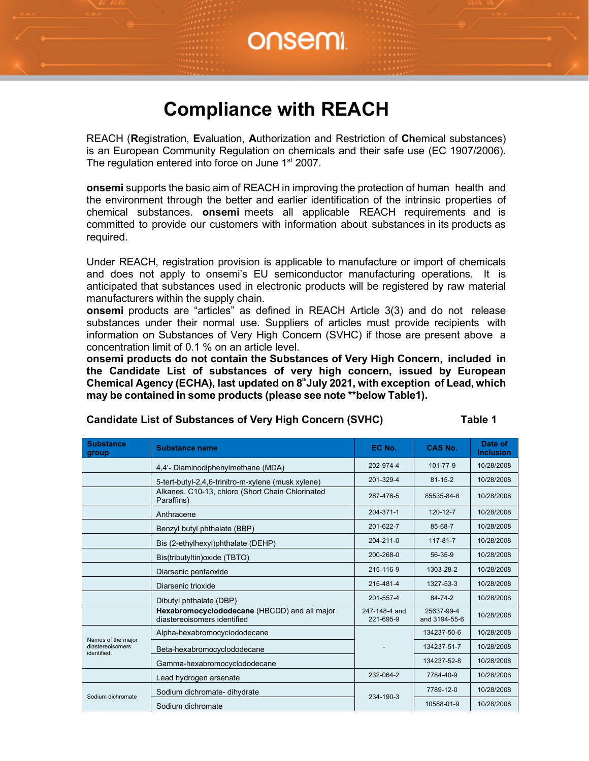#### **Compliance with REACH**

REACH (**R**egistration, **E**valuation, **A**uthorization and Restriction of **Ch**emical substances) is an European Community Regulation on chemicals and their safe use (EC 1907/2006). The regulation entered into force on June 1<sup>st</sup> 2007.

**onsemi** supports the basic aim of REACH in improving the protection of human health and the environment through the better and earlier identification of the intrinsic properties of chemical substances. **onsemi** meets all applicable REACH requirements and is committed to provide our customers with information about substances in its products as required.

Under REACH, registration provision is applicable to manufacture or import of chemicals and does not apply to onsemi's EU semiconductor manufacturing operations. It is anticipated that substances used in electronic products will be registered by raw material manufacturers within the supply chain.

**onsemi** products are "articles" as defined in REACH Article 3(3) and do not release substances under their normal use. Suppliers of articles must provide recipients with information on Substances of Very High Concern (SVHC) if those are present above a concentration limit of 0.1 % on an article level.

**onsemi products do not contain the Substances of Very High Concern, included in the Candidate List of substances of very high concern, issued by European Chemical Agency (ECHA), last updated on 8thJuly 2021, with exception of Lead, which may be contained in some products (please see note \*\*below Table1).**

| <b>Candidate List of Substances of Very High Concern (SVHC)</b> | Table 1 |  |
|-----------------------------------------------------------------|---------|--|
|-----------------------------------------------------------------|---------|--|

| <b>Substance</b><br>group                             | <b>Substance name</b>                                                       | EC No.                     | <b>CAS No.</b>              | Date of<br><b>Inclusion</b> |
|-------------------------------------------------------|-----------------------------------------------------------------------------|----------------------------|-----------------------------|-----------------------------|
|                                                       | 4,4'- Diaminodiphenylmethane (MDA)                                          | 202-974-4                  | 101-77-9                    | 10/28/2008                  |
|                                                       | 5-tert-butyl-2,4,6-trinitro-m-xylene (musk xylene)                          | 201-329-4                  | $81 - 15 - 2$               | 10/28/2008                  |
|                                                       | Alkanes, C10-13, chloro (Short Chain Chlorinated<br>Paraffins)              | 287-476-5                  | 85535-84-8                  | 10/28/2008                  |
|                                                       | Anthracene                                                                  | 204-371-1                  | 120-12-7                    | 10/28/2008                  |
|                                                       | Benzyl butyl phthalate (BBP)                                                | 201-622-7                  | 85-68-7                     | 10/28/2008                  |
|                                                       | Bis (2-ethylhexyl)phthalate (DEHP)                                          | $204 - 211 - 0$            | $117 - 81 - 7$              | 10/28/2008                  |
|                                                       | Bis(tributyltin) oxide (TBTO)                                               | 200-268-0                  | 56-35-9                     | 10/28/2008                  |
|                                                       | Diarsenic pentaoxide<br>Diarsenic trioxide                                  | 215-116-9                  | 1303-28-2                   | 10/28/2008                  |
|                                                       |                                                                             | 215-481-4                  | 1327-53-3                   | 10/28/2008                  |
|                                                       | Dibutyl phthalate (DBP)                                                     | 201-557-4                  | 84-74-2                     | 10/28/2008                  |
|                                                       | Hexabromocyclododecane (HBCDD) and all major<br>diastereoisomers identified | 247-148-4 and<br>221-695-9 | 25637-99-4<br>and 3194-55-6 | 10/28/2008                  |
|                                                       | Alpha-hexabromocyclododecane                                                |                            | 134237-50-6                 | 10/28/2008                  |
| Names of the major<br>diastereoisomers<br>identified: | Beta-hexabromocyclododecane                                                 |                            | 134237-51-7                 | 10/28/2008                  |
|                                                       | Gamma-hexabromocyclododecane                                                |                            | 134237-52-8                 | 10/28/2008                  |
|                                                       | Lead hydrogen arsenate                                                      | 232-064-2                  | 7784-40-9                   | 10/28/2008                  |
| Sodium dichromate                                     | Sodium dichromate- dihydrate                                                | 234-190-3                  | 7789-12-0                   | 10/28/2008                  |
|                                                       | Sodium dichromate                                                           |                            | 10588-01-9                  | 10/28/2008                  |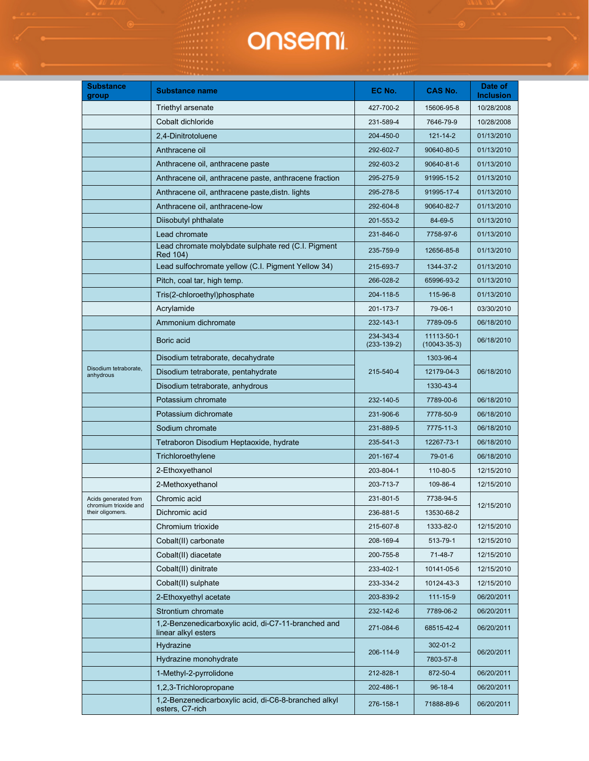| <b>Substance</b><br>group                 | <b>Substance name</b>                                                      | EC No.                     | CAS No.                          | Date of<br><b>Inclusion</b> |
|-------------------------------------------|----------------------------------------------------------------------------|----------------------------|----------------------------------|-----------------------------|
|                                           | Triethyl arsenate                                                          | 427-700-2                  | 15606-95-8                       | 10/28/2008                  |
|                                           | Cobalt dichloride                                                          | 231-589-4                  | 7646-79-9                        | 10/28/2008                  |
|                                           | 2,4-Dinitrotoluene                                                         | 204-450-0                  | 121-14-2                         | 01/13/2010                  |
|                                           | Anthracene oil                                                             | 292-602-7                  | 90640-80-5                       | 01/13/2010                  |
|                                           | Anthracene oil, anthracene paste                                           | 292-603-2                  | 90640-81-6                       | 01/13/2010                  |
|                                           | Anthracene oil, anthracene paste, anthracene fraction                      | 295-275-9                  | 91995-15-2                       | 01/13/2010                  |
|                                           | Anthracene oil, anthracene paste, distn. lights                            | 295-278-5                  | 91995-17-4                       | 01/13/2010                  |
|                                           | Anthracene oil, anthracene-low                                             | 292-604-8                  | 90640-82-7                       | 01/13/2010                  |
|                                           | Diisobutyl phthalate                                                       | 201-553-2                  | 84-69-5                          | 01/13/2010                  |
|                                           | Lead chromate                                                              | 231-846-0                  | 7758-97-6                        | 01/13/2010                  |
|                                           | Lead chromate molybdate sulphate red (C.I. Pigment<br>Red 104)             | 235-759-9                  | 12656-85-8                       | 01/13/2010                  |
|                                           | Lead sulfochromate yellow (C.I. Pigment Yellow 34)                         | 215-693-7                  | 1344-37-2                        | 01/13/2010                  |
|                                           | Pitch, coal tar, high temp.                                                | 266-028-2                  | 65996-93-2                       | 01/13/2010                  |
|                                           | Tris(2-chloroethyl)phosphate                                               | 204-118-5                  | 115-96-8                         | 01/13/2010                  |
|                                           | Acrylamide                                                                 | 201-173-7                  | 79-06-1                          | 03/30/2010                  |
|                                           | Ammonium dichromate                                                        | 232-143-1                  | 7789-09-5                        | 06/18/2010                  |
|                                           | Boric acid                                                                 | 234-343-4<br>$(233-139-2)$ | 11113-50-1<br>$(10043 - 35 - 3)$ | 06/18/2010                  |
|                                           | Disodium tetraborate, decahydrate                                          |                            | 1303-96-4                        |                             |
| Disodium tetraborate,<br>anhydrous        | Disodium tetraborate, pentahydrate                                         | 215-540-4                  | 12179-04-3                       | 06/18/2010                  |
|                                           | Disodium tetraborate, anhydrous                                            |                            | 1330-43-4                        |                             |
|                                           | Potassium chromate                                                         | 232-140-5                  | 7789-00-6                        | 06/18/2010                  |
|                                           | Potassium dichromate                                                       | 231-906-6                  | 7778-50-9                        | 06/18/2010                  |
|                                           | Sodium chromate                                                            | 231-889-5                  | 7775-11-3                        | 06/18/2010                  |
|                                           | Tetraboron Disodium Heptaoxide, hydrate                                    | 235-541-3                  | 12267-73-1                       | 06/18/2010                  |
|                                           | Trichloroethylene                                                          | 201-167-4                  | 79-01-6                          | 06/18/2010                  |
|                                           | 2-Ethoxyethanol                                                            | 203-804-1                  | 110-80-5                         | 12/15/2010                  |
|                                           | 2-Methoxyethanol                                                           | 203-713-7                  | 109-86-4                         | 12/15/2010                  |
| Acids generated from                      | Chromic acid                                                               | 231-801-5                  | 7738-94-5                        |                             |
| chromium trioxide and<br>their oligomers. | Dichromic acid                                                             | 236-881-5                  | 13530-68-2                       | 12/15/2010                  |
|                                           | Chromium trioxide                                                          | 215-607-8                  | 1333-82-0                        | 12/15/2010                  |
|                                           | Cobalt(II) carbonate                                                       | 208-169-4                  | 513-79-1                         | 12/15/2010                  |
|                                           | Cobalt(II) diacetate                                                       | 200-755-8                  | 71-48-7                          | 12/15/2010                  |
|                                           | Cobalt(II) dinitrate                                                       | 233-402-1                  | 10141-05-6                       | 12/15/2010                  |
|                                           | Cobalt(II) sulphate                                                        | 233-334-2                  | 10124-43-3                       | 12/15/2010                  |
|                                           | 2-Ethoxyethyl acetate                                                      | 203-839-2                  | 111-15-9                         | 06/20/2011                  |
|                                           | Strontium chromate                                                         | 232-142-6                  | 7789-06-2                        | 06/20/2011                  |
|                                           | 1,2-Benzenedicarboxylic acid, di-C7-11-branched and<br>linear alkyl esters | 271-084-6                  | 68515-42-4                       | 06/20/2011                  |
|                                           | Hydrazine                                                                  |                            | $302 - 01 - 2$                   |                             |
|                                           | Hydrazine monohydrate                                                      | 206-114-9                  | 7803-57-8                        | 06/20/2011                  |
|                                           | 1-Methyl-2-pyrrolidone                                                     | 212-828-1                  | 872-50-4                         | 06/20/2011                  |
|                                           | 1,2,3-Trichloropropane                                                     | 202-486-1                  | $96 - 18 - 4$                    | 06/20/2011                  |
|                                           | 1,2-Benzenedicarboxylic acid, di-C6-8-branched alkyl<br>esters, C7-rich    | 276-158-1                  | 71888-89-6                       | 06/20/2011                  |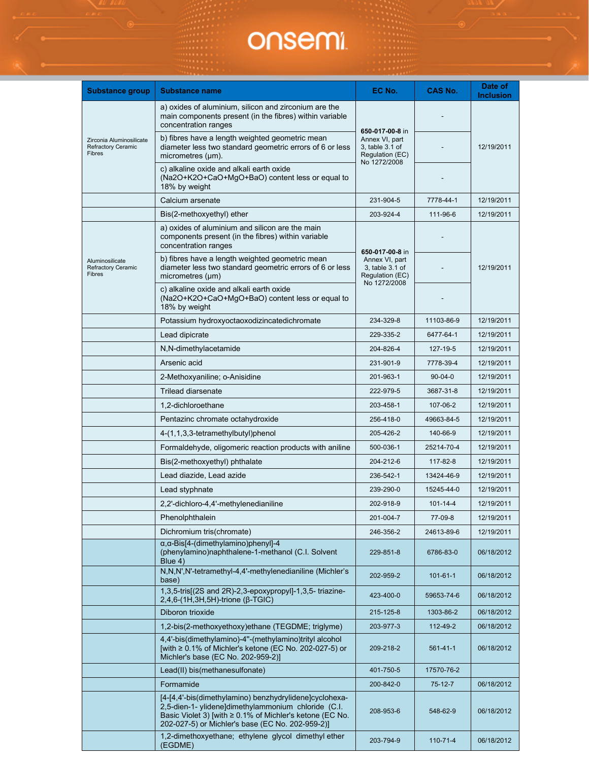| <b>Substance group</b>                                                 | <b>Substance name</b>                                                                                                                                                                                                         | EC No.                                                                                  | CAS No.        | Date of<br><b>Inclusion</b> |
|------------------------------------------------------------------------|-------------------------------------------------------------------------------------------------------------------------------------------------------------------------------------------------------------------------------|-----------------------------------------------------------------------------------------|----------------|-----------------------------|
|                                                                        | a) oxides of aluminium, silicon and zirconium are the<br>main components present (in the fibres) within variable<br>concentration ranges                                                                                      |                                                                                         |                |                             |
| Zirconia Aluminosilicate<br><b>Refractory Ceramic</b><br><b>Fibres</b> | b) fibres have a length weighted geometric mean<br>diameter less two standard geometric errors of 6 or less<br>micrometres $(\mu m)$ .                                                                                        | 650-017-00-8 in<br>Annex VI, part<br>3, table 3.1 of<br>Regulation (EC)<br>No 1272/2008 |                | 12/19/2011                  |
|                                                                        | c) alkaline oxide and alkali earth oxide<br>(Na2O+K2O+CaO+MgO+BaO) content less or equal to<br>18% by weight                                                                                                                  |                                                                                         |                |                             |
|                                                                        | Calcium arsenate                                                                                                                                                                                                              | 231-904-5                                                                               | 7778-44-1      | 12/19/2011                  |
|                                                                        | Bis(2-methoxyethyl) ether                                                                                                                                                                                                     | 203-924-4                                                                               | 111-96-6       | 12/19/2011                  |
|                                                                        | a) oxides of aluminium and silicon are the main<br>components present (in the fibres) within variable<br>concentration ranges                                                                                                 |                                                                                         |                |                             |
| Aluminosilicate<br><b>Refractory Ceramic</b><br>Fibres                 | b) fibres have a length weighted geometric mean<br>diameter less two standard geometric errors of 6 or less<br>micrometres (µm)                                                                                               | 650-017-00-8 in<br>Annex VI, part<br>3, table 3.1 of<br>Regulation (EC)                 |                | 12/19/2011                  |
|                                                                        | c) alkaline oxide and alkali earth oxide<br>(Na2O+K2O+CaO+MgO+BaO) content less or equal to<br>18% by weight                                                                                                                  | No 1272/2008                                                                            |                |                             |
|                                                                        | Potassium hydroxyoctaoxodizincatedichromate                                                                                                                                                                                   | 234-329-8                                                                               | 11103-86-9     | 12/19/2011                  |
|                                                                        | Lead dipicrate                                                                                                                                                                                                                | 229-335-2                                                                               | 6477-64-1      | 12/19/2011                  |
|                                                                        | N,N-dimethylacetamide                                                                                                                                                                                                         | 204-826-4                                                                               | 127-19-5       | 12/19/2011                  |
|                                                                        | Arsenic acid                                                                                                                                                                                                                  | 231-901-9                                                                               | 7778-39-4      | 12/19/2011                  |
|                                                                        | 2-Methoxyaniline; o-Anisidine                                                                                                                                                                                                 | 201-963-1                                                                               | $90 - 04 - 0$  | 12/19/2011                  |
|                                                                        | <b>Trilead diarsenate</b>                                                                                                                                                                                                     | 222-979-5                                                                               | 3687-31-8      | 12/19/2011                  |
|                                                                        | 1,2-dichloroethane                                                                                                                                                                                                            | 203-458-1                                                                               | 107-06-2       | 12/19/2011                  |
|                                                                        | Pentazinc chromate octahydroxide                                                                                                                                                                                              | 256-418-0                                                                               | 49663-84-5     | 12/19/2011                  |
|                                                                        | 4-(1,1,3,3-tetramethylbutyl)phenol                                                                                                                                                                                            | 205-426-2                                                                               | 140-66-9       | 12/19/2011                  |
|                                                                        | Formaldehyde, oligomeric reaction products with aniline                                                                                                                                                                       | 500-036-1                                                                               | 25214-70-4     | 12/19/2011                  |
|                                                                        | Bis(2-methoxyethyl) phthalate                                                                                                                                                                                                 | 204-212-6                                                                               | 117-82-8       | 12/19/2011                  |
|                                                                        | Lead diazide, Lead azide                                                                                                                                                                                                      | 236-542-1                                                                               | 13424-46-9     | 12/19/2011                  |
|                                                                        | Lead styphnate                                                                                                                                                                                                                | 239-290-0                                                                               | 15245-44-0     | 12/19/2011                  |
|                                                                        | 2,2'-dichloro-4,4'-methylenedianiline                                                                                                                                                                                         | 202-918-9                                                                               | $101 - 14 - 4$ | 12/19/2011                  |
|                                                                        | Phenolphthalein                                                                                                                                                                                                               | 201-004-7                                                                               | 77-09-8        | 12/19/2011                  |
|                                                                        | Dichromium tris(chromate)                                                                                                                                                                                                     | 246-356-2                                                                               | 24613-89-6     | 12/19/2011                  |
|                                                                        | $\alpha$ , $\alpha$ -Bis[4-(dimethylamino)phenyl]-4<br>(phenylamino)naphthalene-1-methanol (C.I. Solvent<br>Blue 4)                                                                                                           | 229-851-8                                                                               | 6786-83-0      | 06/18/2012                  |
|                                                                        | N,N,N',N'-tetramethyl-4,4'-methylenedianiline (Michler's<br>base)                                                                                                                                                             | 202-959-2                                                                               | $101 - 61 - 1$ | 06/18/2012                  |
|                                                                        | 1,3,5-tris[(2S and 2R)-2,3-epoxypropyl]-1,3,5-triazine-<br>$2,4,6-(1H,3H,5H)$ -trione ( $\beta$ -TGIC)                                                                                                                        | 423-400-0                                                                               | 59653-74-6     | 06/18/2012                  |
|                                                                        | Diboron trioxide                                                                                                                                                                                                              | 215-125-8                                                                               | 1303-86-2      | 06/18/2012                  |
|                                                                        | 1,2-bis(2-methoxyethoxy)ethane (TEGDME; triglyme)                                                                                                                                                                             | 203-977-3                                                                               | 112-49-2       | 06/18/2012                  |
|                                                                        | 4,4'-bis(dimethylamino)-4"-(methylamino)trityl alcohol<br>[with ≥ 0.1% of Michler's ketone (EC No. 202-027-5) or<br>Michler's base (EC No. 202-959-2)]                                                                        | 209-218-2                                                                               | 561-41-1       | 06/18/2012                  |
|                                                                        | Lead(II) bis(methanesulfonate)                                                                                                                                                                                                | 401-750-5                                                                               | 17570-76-2     |                             |
|                                                                        | Formamide                                                                                                                                                                                                                     | 200-842-0                                                                               | 75-12-7        | 06/18/2012                  |
|                                                                        | [4-[4,4'-bis(dimethylamino) benzhydrylidene]cyclohexa-<br>2,5-dien-1- ylidene]dimethylammonium chloride (C.I.<br>Basic Violet 3) [with ≥ 0.1% of Michler's ketone (EC No.<br>202-027-5) or Michler's base (EC No. 202-959-2)] | 208-953-6                                                                               | 548-62-9       | 06/18/2012                  |
|                                                                        | 1,2-dimethoxyethane; ethylene glycol dimethyl ether<br>(EGDME)                                                                                                                                                                | 203-794-9                                                                               | $110 - 71 - 4$ | 06/18/2012                  |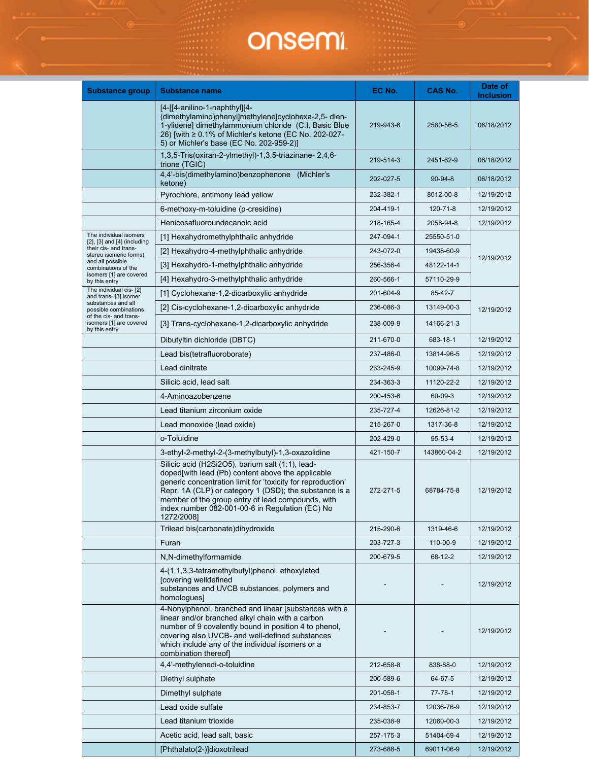| <b>Substance group</b>                                             | <b>Substance name</b>                                                                                                                                                                                                                                                                                                                                | EC No.    | <b>CAS No.</b> | Date of<br><b>Inclusion</b> |
|--------------------------------------------------------------------|------------------------------------------------------------------------------------------------------------------------------------------------------------------------------------------------------------------------------------------------------------------------------------------------------------------------------------------------------|-----------|----------------|-----------------------------|
|                                                                    | $[4-[4-1]$ anilino-1-naphthyl][4-<br>(dimethylamino)phenyl]methylene]cyclohexa-2,5- dien-<br>1-ylidene] dimethylammonium chloride (C.I. Basic Blue<br>26) [with ≥ 0.1% of Michler's ketone (EC No. 202-027-<br>5) or Michler's base (EC No. 202-959-2)]                                                                                              | 219-943-6 | 2580-56-5      | 06/18/2012                  |
|                                                                    | 1,3,5-Tris(oxiran-2-ylmethyl)-1,3,5-triazinane-2,4,6-<br>trione (TGIC)                                                                                                                                                                                                                                                                               | 219-514-3 | 2451-62-9      | 06/18/2012                  |
|                                                                    | 4,4'-bis(dimethylamino)benzophenone (Michler's<br>ketone)                                                                                                                                                                                                                                                                                            | 202-027-5 | $90 - 94 - 8$  | 06/18/2012                  |
|                                                                    | Pyrochlore, antimony lead yellow                                                                                                                                                                                                                                                                                                                     | 232-382-1 | 8012-00-8      | 12/19/2012                  |
|                                                                    | 6-methoxy-m-toluidine (p-cresidine)                                                                                                                                                                                                                                                                                                                  | 204-419-1 | 120-71-8       | 12/19/2012                  |
|                                                                    | Henicosafluoroundecanoic acid                                                                                                                                                                                                                                                                                                                        | 218-165-4 | 2058-94-8      | 12/19/2012                  |
| The individual isomers<br>$[2]$ , $[3]$ and $[4]$ (including       | [1] Hexahydromethylphthalic anhydride                                                                                                                                                                                                                                                                                                                | 247-094-1 | 25550-51-0     |                             |
| their cis- and trans-<br>stereo isomeric forms)                    | [2] Hexahydro-4-methylphthalic anhydride                                                                                                                                                                                                                                                                                                             | 243-072-0 | 19438-60-9     | 12/19/2012                  |
| and all possible<br>combinations of the                            | [3] Hexahydro-1-methylphthalic anhydride                                                                                                                                                                                                                                                                                                             | 256-356-4 | 48122-14-1     |                             |
| isomers [1] are covered<br>by this entry                           | [4] Hexahydro-3-methylphthalic anhydride                                                                                                                                                                                                                                                                                                             | 260-566-1 | 57110-29-9     |                             |
| The individual cis- [2]<br>and trans- [3] isomer                   | [1] Cyclohexane-1,2-dicarboxylic anhydride                                                                                                                                                                                                                                                                                                           | 201-604-9 | 85-42-7        |                             |
| substances and all<br>possible combinations                        | [2] Cis-cyclohexane-1,2-dicarboxylic anhydride                                                                                                                                                                                                                                                                                                       | 236-086-3 | 13149-00-3     | 12/19/2012                  |
| of the cis- and trans-<br>isomers [1] are covered<br>by this entry | [3] Trans-cyclohexane-1,2-dicarboxylic anhydride                                                                                                                                                                                                                                                                                                     | 238-009-9 | 14166-21-3     |                             |
|                                                                    | Dibutyltin dichloride (DBTC)                                                                                                                                                                                                                                                                                                                         | 211-670-0 | 683-18-1       | 12/19/2012                  |
|                                                                    | Lead bis(tetrafluoroborate)                                                                                                                                                                                                                                                                                                                          | 237-486-0 | 13814-96-5     | 12/19/2012                  |
|                                                                    | Lead dinitrate                                                                                                                                                                                                                                                                                                                                       | 233-245-9 | 10099-74-8     | 12/19/2012                  |
|                                                                    | Silicic acid, lead salt                                                                                                                                                                                                                                                                                                                              | 234-363-3 | 11120-22-2     | 12/19/2012                  |
|                                                                    | 4-Aminoazobenzene                                                                                                                                                                                                                                                                                                                                    | 200-453-6 | 60-09-3        | 12/19/2012                  |
|                                                                    | Lead titanium zirconium oxide                                                                                                                                                                                                                                                                                                                        | 235-727-4 | 12626-81-2     | 12/19/2012                  |
|                                                                    | Lead monoxide (lead oxide)                                                                                                                                                                                                                                                                                                                           | 215-267-0 | 1317-36-8      | 12/19/2012                  |
|                                                                    | o-Toluidine                                                                                                                                                                                                                                                                                                                                          | 202-429-0 | 95-53-4        | 12/19/2012                  |
|                                                                    | 3-ethyl-2-methyl-2-(3-methylbutyl)-1,3-oxazolidine                                                                                                                                                                                                                                                                                                   | 421-150-7 | 143860-04-2    | 12/19/2012                  |
|                                                                    | Silicic acid (H2Si2O5), barium salt (1:1), lead-<br>doped[with lead (Pb) content above the applicable<br>generic concentration limit for 'toxicity for reproduction'<br>Repr. 1A (CLP) or category 1 (DSD); the substance is a<br>member of the group entry of lead compounds, with<br>index number 082-001-00-6 in Regulation (EC) No<br>1272/2008] | 272-271-5 | 68784-75-8     | 12/19/2012                  |
|                                                                    | Trilead bis(carbonate)dihydroxide                                                                                                                                                                                                                                                                                                                    | 215-290-6 | 1319-46-6      | 12/19/2012                  |
|                                                                    | Furan                                                                                                                                                                                                                                                                                                                                                | 203-727-3 | 110-00-9       | 12/19/2012                  |
|                                                                    | N,N-dimethylformamide                                                                                                                                                                                                                                                                                                                                | 200-679-5 | 68-12-2        | 12/19/2012                  |
|                                                                    | 4-(1,1,3,3-tetramethylbutyl)phenol, ethoxylated<br>[covering welldefined<br>substances and UVCB substances, polymers and<br>homologues]                                                                                                                                                                                                              |           |                | 12/19/2012                  |
|                                                                    | 4-Nonylphenol, branched and linear [substances with a<br>linear and/or branched alkyl chain with a carbon<br>number of 9 covalently bound in position 4 to phenol,<br>covering also UVCB- and well-defined substances<br>which include any of the individual isomers or a<br>combination thereof                                                     |           |                | 12/19/2012                  |
|                                                                    | 4,4'-methylenedi-o-toluidine                                                                                                                                                                                                                                                                                                                         | 212-658-8 | 838-88-0       | 12/19/2012                  |
|                                                                    | Diethyl sulphate                                                                                                                                                                                                                                                                                                                                     | 200-589-6 | 64-67-5        | 12/19/2012                  |
|                                                                    | Dimethyl sulphate                                                                                                                                                                                                                                                                                                                                    | 201-058-1 | 77-78-1        | 12/19/2012                  |
|                                                                    | Lead oxide sulfate                                                                                                                                                                                                                                                                                                                                   | 234-853-7 | 12036-76-9     | 12/19/2012                  |
|                                                                    | Lead titanium trioxide                                                                                                                                                                                                                                                                                                                               | 235-038-9 | 12060-00-3     | 12/19/2012                  |
|                                                                    | Acetic acid, lead salt, basic                                                                                                                                                                                                                                                                                                                        | 257-175-3 | 51404-69-4     | 12/19/2012                  |
|                                                                    | [Phthalato(2-)]dioxotrilead                                                                                                                                                                                                                                                                                                                          | 273-688-5 | 69011-06-9     | 12/19/2012                  |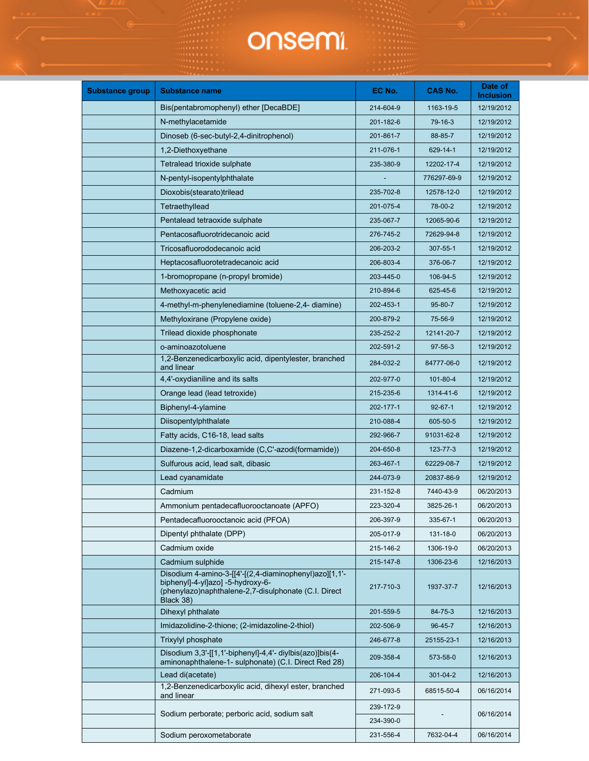| <b>Substance group</b> | <b>Substance name</b>                                                                                                                                            | EC No.    | <b>CAS No.</b> | Date of<br><b>Inclusion</b> |
|------------------------|------------------------------------------------------------------------------------------------------------------------------------------------------------------|-----------|----------------|-----------------------------|
|                        | Bis(pentabromophenyl) ether [DecaBDE]                                                                                                                            | 214-604-9 | 1163-19-5      | 12/19/2012                  |
|                        | N-methylacetamide                                                                                                                                                | 201-182-6 | 79-16-3        | 12/19/2012                  |
|                        | Dinoseb (6-sec-butyl-2,4-dinitrophenol)                                                                                                                          | 201-861-7 | 88-85-7        | 12/19/2012                  |
|                        | 1,2-Diethoxyethane                                                                                                                                               | 211-076-1 | 629-14-1       | 12/19/2012                  |
|                        | Tetralead trioxide sulphate                                                                                                                                      | 235-380-9 | 12202-17-4     | 12/19/2012                  |
|                        | N-pentyl-isopentylphthalate                                                                                                                                      |           | 776297-69-9    | 12/19/2012                  |
|                        | Dioxobis(stearato)trilead                                                                                                                                        | 235-702-8 | 12578-12-0     | 12/19/2012                  |
|                        | Tetraethyllead                                                                                                                                                   | 201-075-4 | 78-00-2        | 12/19/2012                  |
|                        | Pentalead tetraoxide sulphate                                                                                                                                    | 235-067-7 | 12065-90-6     | 12/19/2012                  |
|                        | Pentacosafluorotridecanoic acid                                                                                                                                  | 276-745-2 | 72629-94-8     | 12/19/2012                  |
|                        | Tricosafluorododecanoic acid                                                                                                                                     | 206-203-2 | 307-55-1       | 12/19/2012                  |
|                        | Heptacosafluorotetradecanoic acid                                                                                                                                | 206-803-4 | 376-06-7       | 12/19/2012                  |
|                        | 1-bromopropane (n-propyl bromide)                                                                                                                                | 203-445-0 | 106-94-5       | 12/19/2012                  |
|                        | Methoxyacetic acid                                                                                                                                               | 210-894-6 | 625-45-6       | 12/19/2012                  |
|                        | 4-methyl-m-phenylenediamine (toluene-2,4- diamine)                                                                                                               | 202-453-1 | 95-80-7        | 12/19/2012                  |
|                        | Methyloxirane (Propylene oxide)                                                                                                                                  | 200-879-2 | 75-56-9        | 12/19/2012                  |
|                        | Trilead dioxide phosphonate                                                                                                                                      | 235-252-2 | 12141-20-7     | 12/19/2012                  |
|                        | o-aminoazotoluene                                                                                                                                                | 202-591-2 | 97-56-3        | 12/19/2012                  |
|                        | 1,2-Benzenedicarboxylic acid, dipentylester, branched<br>and linear                                                                                              | 284-032-2 | 84777-06-0     | 12/19/2012                  |
|                        | 4,4'-oxydianiline and its salts                                                                                                                                  | 202-977-0 | 101-80-4       | 12/19/2012                  |
|                        | Orange lead (lead tetroxide)                                                                                                                                     | 215-235-6 | 1314-41-6      | 12/19/2012                  |
|                        | Biphenyl-4-ylamine                                                                                                                                               | 202-177-1 | $92 - 67 - 1$  | 12/19/2012                  |
|                        | Diisopentylphthalate                                                                                                                                             | 210-088-4 | 605-50-5       | 12/19/2012                  |
|                        | Fatty acids, C16-18, lead salts                                                                                                                                  | 292-966-7 | 91031-62-8     | 12/19/2012                  |
|                        | Diazene-1,2-dicarboxamide (C,C'-azodi(formamide))                                                                                                                | 204-650-8 | 123-77-3       | 12/19/2012                  |
|                        | Sulfurous acid, lead salt, dibasic                                                                                                                               | 263-467-1 | 62229-08-7     | 12/19/2012                  |
|                        | Lead cyanamidate                                                                                                                                                 | 244-073-9 | 20837-86-9     | 12/19/2012                  |
|                        | Cadmium                                                                                                                                                          | 231-152-8 | 7440-43-9      | 06/20/2013                  |
|                        | Ammonium pentadecafluorooctanoate (APFO)                                                                                                                         | 223-320-4 | 3825-26-1      | 06/20/2013                  |
|                        | Pentadecafluorooctanoic acid (PFOA)                                                                                                                              | 206-397-9 | 335-67-1       | 06/20/2013                  |
|                        | Dipentyl phthalate (DPP)                                                                                                                                         | 205-017-9 | 131-18-0       | 06/20/2013                  |
|                        | Cadmium oxide                                                                                                                                                    | 215-146-2 | 1306-19-0      | 06/20/2013                  |
|                        | Cadmium sulphide                                                                                                                                                 | 215-147-8 | 1306-23-6      | 12/16/2013                  |
|                        | Disodium 4-amino-3-[[4'-[(2,4-diaminophenyl)azo][1,1'-<br>biphenyl]-4-yl]azo] -5-hydroxy-6-<br>(phenylazo)naphthalene-2,7-disulphonate (C.I. Direct<br>Black 38) | 217-710-3 | 1937-37-7      | 12/16/2013                  |
|                        | Dihexyl phthalate                                                                                                                                                | 201-559-5 | 84-75-3        | 12/16/2013                  |
|                        | Imidazolidine-2-thione; (2-imidazoline-2-thiol)                                                                                                                  | 202-506-9 | 96-45-7        | 12/16/2013                  |
|                        | Trixylyl phosphate                                                                                                                                               | 246-677-8 | 25155-23-1     | 12/16/2013                  |
|                        | Disodium 3,3'-[[1,1'-biphenyl]-4,4'- diylbis(azo)]bis(4-<br>aminonaphthalene-1- sulphonate) (C.I. Direct Red 28)                                                 | 209-358-4 | 573-58-0       | 12/16/2013                  |
|                        | Lead di(acetate)                                                                                                                                                 | 206-104-4 | 301-04-2       | 12/16/2013                  |
|                        | 1,2-Benzenedicarboxylic acid, dihexyl ester, branched<br>and linear                                                                                              | 271-093-5 | 68515-50-4     | 06/16/2014                  |
|                        | Sodium perborate; perboric acid, sodium salt                                                                                                                     | 239-172-9 |                | 06/16/2014                  |
|                        |                                                                                                                                                                  | 234-390-0 |                |                             |
|                        | Sodium peroxometaborate                                                                                                                                          | 231-556-4 | 7632-04-4      | 06/16/2014                  |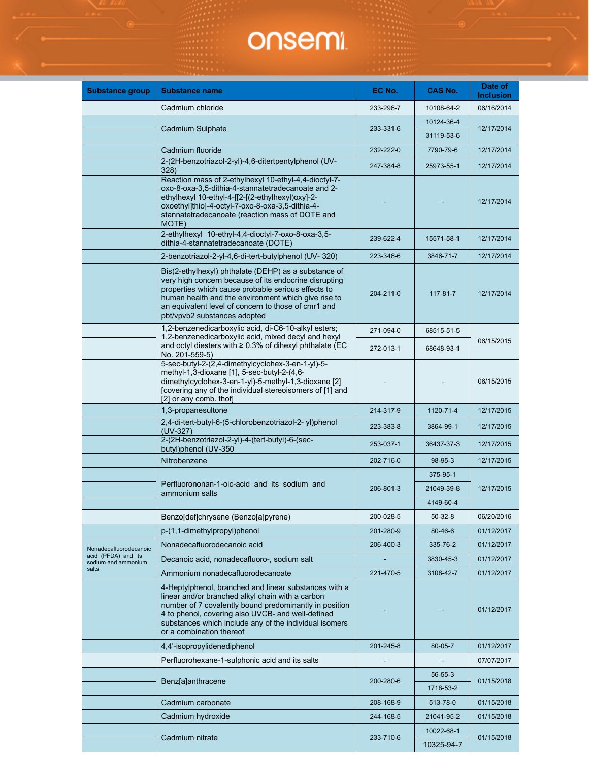| <b>Substance group</b>                     | Substance name                                                                                                                                                                                                                                                                                                    | EC No.          | CAS No.                             | Date of<br><b>Inclusion</b> |
|--------------------------------------------|-------------------------------------------------------------------------------------------------------------------------------------------------------------------------------------------------------------------------------------------------------------------------------------------------------------------|-----------------|-------------------------------------|-----------------------------|
|                                            | Cadmium chloride                                                                                                                                                                                                                                                                                                  | 233-296-7       | 10108-64-2                          | 06/16/2014                  |
|                                            |                                                                                                                                                                                                                                                                                                                   |                 | 10124-36-4                          |                             |
|                                            | Cadmium Sulphate                                                                                                                                                                                                                                                                                                  | 233-331-6       | 31119-53-6                          | 12/17/2014                  |
|                                            | Cadmium fluoride                                                                                                                                                                                                                                                                                                  | 232-222-0       | 7790-79-6                           | 12/17/2014                  |
|                                            | 2-(2H-benzotriazol-2-yl)-4,6-ditertpentylphenol (UV-                                                                                                                                                                                                                                                              | 247-384-8       | 25973-55-1                          | 12/17/2014                  |
|                                            | 328)<br>Reaction mass of 2-ethylhexyl 10-ethyl-4,4-dioctyl-7-<br>oxo-8-oxa-3,5-dithia-4-stannatetradecanoate and 2-<br>ethylhexyl 10-ethyl-4-[[2-[(2-ethylhexyl)oxy]-2-<br>oxoethyl]thio]-4-octyl-7-oxo-8-oxa-3,5-dithia-4-<br>stannatetradecanoate (reaction mass of DOTE and<br>MOTE)                           |                 |                                     | 12/17/2014                  |
|                                            | 2-ethylhexyl 10-ethyl-4,4-dioctyl-7-oxo-8-oxa-3,5-<br>dithia-4-stannatetradecanoate (DOTE)                                                                                                                                                                                                                        | 239-622-4       | 15571-58-1                          | 12/17/2014                  |
|                                            | 2-benzotriazol-2-yl-4,6-di-tert-butylphenol (UV-320)                                                                                                                                                                                                                                                              | 223-346-6       | 3846-71-7                           | 12/17/2014                  |
|                                            | Bis(2-ethylhexyl) phthalate (DEHP) as a substance of<br>very high concern because of its endocrine disrupting<br>properties which cause probable serious effects to<br>human health and the environment which give rise to<br>an equivalent level of concern to those of cmr1 and<br>pbt/vpvb2 substances adopted | $204 - 211 - 0$ | 117-81-7                            | 12/17/2014                  |
|                                            | 1,2-benzenedicarboxylic acid, di-C6-10-alkyl esters;                                                                                                                                                                                                                                                              | 271-094-0       | 68515-51-5                          |                             |
|                                            | 1,2-benzenedicarboxylic acid, mixed decyl and hexyl<br>and octyl diesters with $\geq 0.3\%$ of dihexyl phthalate (EC<br>No. 201-559-5)                                                                                                                                                                            | 272-013-1       | 68648-93-1                          | 06/15/2015                  |
|                                            | 5-sec-butyl-2-(2,4-dimethylcyclohex-3-en-1-yl)-5-<br>methyl-1,3-dioxane [1], 5-sec-butyl-2-(4,6-<br>dimethylcyclohex-3-en-1-yl)-5-methyl-1,3-dioxane [2]<br>[covering any of the individual stereoisomers of [1] and<br>[2] or any comb. thof]                                                                    |                 |                                     | 06/15/2015                  |
|                                            | 1,3-propanesultone                                                                                                                                                                                                                                                                                                | 214-317-9       | 1120-71-4                           | 12/17/2015                  |
|                                            | 2,4-di-tert-butyl-6-(5-chlorobenzotriazol-2-yl)phenol<br>$(UV-327)$<br>2-(2H-benzotriazol-2-yl)-4-(tert-butyl)-6-(sec-                                                                                                                                                                                            | 223-383-8       | 3864-99-1                           | 12/17/2015                  |
|                                            | butyl)phenol (UV-350                                                                                                                                                                                                                                                                                              | 253-037-1       | 36437-37-3                          | 12/17/2015                  |
|                                            | Nitrobenzene                                                                                                                                                                                                                                                                                                      | 202-716-0       | 98-95-3                             | 12/17/2015                  |
|                                            | Perfluorononan-1-oic-acid and its sodium and<br>ammonium salts                                                                                                                                                                                                                                                    | 206-801-3       | 375-95-1<br>21049-39-8<br>4149-60-4 | 12/17/2015                  |
|                                            | Benzo[def]chrysene (Benzo[a]pyrene)                                                                                                                                                                                                                                                                               | 200-028-5       | $50-32-8$                           | 06/20/2016                  |
|                                            | p-(1,1-dimethylpropyl)phenol                                                                                                                                                                                                                                                                                      | 201-280-9       | 80-46-6                             | 01/12/2017                  |
| Nonadecafluorodecanoic                     | Nonadecafluorodecanoic acid                                                                                                                                                                                                                                                                                       | 206-400-3       | 335-76-2                            | 01/12/2017                  |
| acid (PFDA) and its<br>sodium and ammonium | Decanoic acid, nonadecafluoro-, sodium salt                                                                                                                                                                                                                                                                       |                 | 3830-45-3                           | 01/12/2017                  |
| salts                                      | Ammonium nonadecafluorodecanoate                                                                                                                                                                                                                                                                                  | 221-470-5       | 3108-42-7                           | 01/12/2017                  |
|                                            | 4-Heptylphenol, branched and linear substances with a<br>linear and/or branched alkyl chain with a carbon<br>number of 7 covalently bound predominantly in position<br>4 to phenol, covering also UVCB- and well-defined<br>substances which include any of the individual isomers<br>or a combination thereof    |                 |                                     | 01/12/2017                  |
|                                            | 4,4'-isopropylidenediphenol                                                                                                                                                                                                                                                                                       | 201-245-8       | 80-05-7                             | 01/12/2017                  |
|                                            | Perfluorohexane-1-sulphonic acid and its salts                                                                                                                                                                                                                                                                    |                 |                                     | 07/07/2017                  |
|                                            | Benz[a]anthracene                                                                                                                                                                                                                                                                                                 | 200-280-6       | 56-55-3<br>1718-53-2                | 01/15/2018                  |
|                                            | Cadmium carbonate                                                                                                                                                                                                                                                                                                 | 208-168-9       | 513-78-0                            | 01/15/2018                  |
|                                            | Cadmium hydroxide                                                                                                                                                                                                                                                                                                 | 244-168-5       | 21041-95-2                          | 01/15/2018                  |
|                                            |                                                                                                                                                                                                                                                                                                                   |                 | 10022-68-1                          |                             |
|                                            | Cadmium nitrate                                                                                                                                                                                                                                                                                                   | 233-710-6       | 10325-94-7                          | 01/15/2018                  |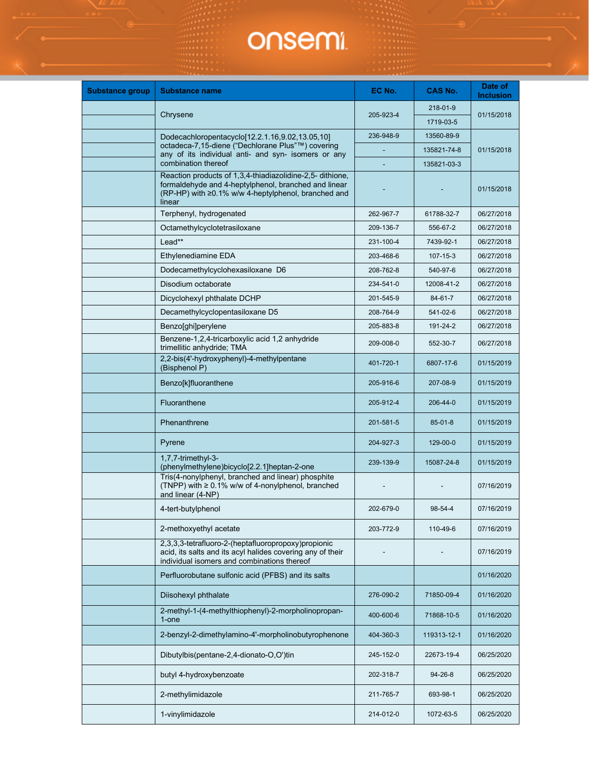| <b>Substance group</b> | <b>Substance name</b>                                                                                                                                                              | EC No.    | <b>CAS No.</b> | Date of<br><b>Inclusion</b> |
|------------------------|------------------------------------------------------------------------------------------------------------------------------------------------------------------------------------|-----------|----------------|-----------------------------|
|                        | Chrysene                                                                                                                                                                           | 205-923-4 | 218-01-9       | 01/15/2018                  |
|                        |                                                                                                                                                                                    |           | 1719-03-5      |                             |
|                        | Dodecachloropentacyclo[12.2.1.16,9.02,13.05,10]                                                                                                                                    | 236-948-9 | 13560-89-9     |                             |
|                        | octadeca-7,15-diene ("Dechlorane Plus"™) covering<br>any of its individual anti- and syn- isomers or any                                                                           |           | 135821-74-8    | 01/15/2018                  |
|                        | combination thereof                                                                                                                                                                |           | 135821-03-3    |                             |
|                        | Reaction products of 1,3,4-thiadiazolidine-2,5- dithione,<br>formaldehyde and 4-heptylphenol, branched and linear<br>(RP-HP) with ≥0.1% w/w 4-heptylphenol, branched and<br>linear |           |                | 01/15/2018                  |
|                        | Terphenyl, hydrogenated                                                                                                                                                            | 262-967-7 | 61788-32-7     | 06/27/2018                  |
|                        | Octamethylcyclotetrasiloxane                                                                                                                                                       | 209-136-7 | 556-67-2       | 06/27/2018                  |
|                        | Lead**                                                                                                                                                                             | 231-100-4 | 7439-92-1      | 06/27/2018                  |
|                        | Ethylenediamine EDA                                                                                                                                                                | 203-468-6 | 107-15-3       | 06/27/2018                  |
|                        | Dodecamethylcyclohexasiloxane D6                                                                                                                                                   | 208-762-8 | 540-97-6       | 06/27/2018                  |
|                        | Disodium octaborate                                                                                                                                                                | 234-541-0 | 12008-41-2     | 06/27/2018                  |
|                        | Dicyclohexyl phthalate DCHP                                                                                                                                                        | 201-545-9 | 84-61-7        | 06/27/2018                  |
|                        | Decamethylcyclopentasiloxane D5                                                                                                                                                    | 208-764-9 | 541-02-6       | 06/27/2018                  |
|                        | Benzo[ghi]perylene                                                                                                                                                                 | 205-883-8 | 191-24-2       | 06/27/2018                  |
|                        | Benzene-1,2,4-tricarboxylic acid 1,2 anhydride<br>trimellitic anhydride; TMA                                                                                                       | 209-008-0 | 552-30-7       | 06/27/2018                  |
|                        | 2,2-bis(4'-hydroxyphenyl)-4-methylpentane<br>(Bisphenol P)                                                                                                                         | 401-720-1 | 6807-17-6      | 01/15/2019                  |
|                        | Benzo[k]fluoranthene                                                                                                                                                               | 205-916-6 | 207-08-9       | 01/15/2019                  |
|                        | Fluoranthene                                                                                                                                                                       | 205-912-4 | 206-44-0       | 01/15/2019                  |
|                        | Phenanthrene                                                                                                                                                                       | 201-581-5 | $85 - 01 - 8$  | 01/15/2019                  |
|                        | Pyrene                                                                                                                                                                             | 204-927-3 | 129-00-0       | 01/15/2019                  |
|                        | 1.7.7-trimethyl-3-<br>(phenylmethylene)bicyclo[2.2.1]heptan-2-one                                                                                                                  | 239-139-9 | 15087-24-8     | 01/15/2019                  |
|                        | Tris(4-nonylphenyl, branched and linear) phosphite<br>(TNPP) with $\geq 0.1\%$ w/w of 4-nonylphenol, branched<br>and linear (4-NP)                                                 |           |                | 07/16/2019                  |
|                        | 4-tert-butylphenol                                                                                                                                                                 | 202-679-0 | 98-54-4        | 07/16/2019                  |
|                        | 2-methoxyethyl acetate                                                                                                                                                             | 203-772-9 | 110-49-6       | 07/16/2019                  |
|                        | 2,3,3,3-tetrafluoro-2-(heptafluoropropoxy)propionic<br>acid, its salts and its acyl halides covering any of their<br>individual isomers and combinations thereof                   |           |                | 07/16/2019                  |
|                        | Perfluorobutane sulfonic acid (PFBS) and its salts                                                                                                                                 |           |                | 01/16/2020                  |
|                        | Diisohexyl phthalate                                                                                                                                                               | 276-090-2 | 71850-09-4     | 01/16/2020                  |
|                        | 2-methyl-1-(4-methylthiophenyl)-2-morpholinopropan-<br>1-one                                                                                                                       | 400-600-6 | 71868-10-5     | 01/16/2020                  |
|                        | 2-benzyl-2-dimethylamino-4'-morpholinobutyrophenone                                                                                                                                | 404-360-3 | 119313-12-1    | 01/16/2020                  |
|                        | Dibutylbis(pentane-2,4-dionato-O,O')tin                                                                                                                                            | 245-152-0 | 22673-19-4     | 06/25/2020                  |
|                        | butyl 4-hydroxybenzoate                                                                                                                                                            | 202-318-7 | $94 - 26 - 8$  | 06/25/2020                  |
|                        | 2-methylimidazole                                                                                                                                                                  | 211-765-7 | 693-98-1       | 06/25/2020                  |
|                        | 1-vinylimidazole                                                                                                                                                                   | 214-012-0 | 1072-63-5      | 06/25/2020                  |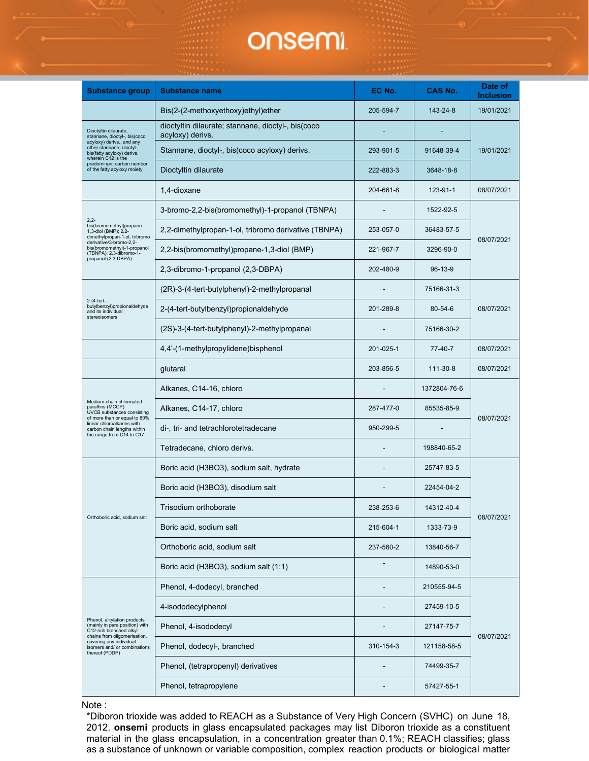| <b>Substance group</b>                                                                                                | <b>Substance name</b>                                                  | EC No.    | <b>CAS No.</b> | Date of<br><b>Inclusion</b> |
|-----------------------------------------------------------------------------------------------------------------------|------------------------------------------------------------------------|-----------|----------------|-----------------------------|
|                                                                                                                       | Bis(2-(2-methoxyethoxy)ethyl)ether                                     | 205-594-7 | 143-24-8       | 19/01/2021                  |
| Dioctyltin dilaurate,<br>stannane, dioctyl-, bis(coco                                                                 | dioctyltin dilaurate; stannane, dioctyl-, bis(coco<br>acyloxy) derivs. |           |                |                             |
| acyloxy) derivs., and any<br>other stannane, dioctyl-,<br>bis(fatty acyloxy) derivs.<br>wherein C12 is the            | Stannane, dioctyl-, bis(coco acyloxy) derivs.                          | 293-901-5 | 91648-39-4     | 19/01/2021                  |
| predominant carbon number<br>of the fatty acyloxy moiety                                                              | Dioctyltin dilaurate                                                   | 222-883-3 | 3648-18-8      |                             |
|                                                                                                                       | 1,4-dioxane                                                            | 204-661-8 | 123-91-1       | 08/07/2021                  |
| $2,2-$                                                                                                                | 3-bromo-2,2-bis(bromomethyl)-1-propanol (TBNPA)                        |           | 1522-92-5      |                             |
| bis(bromomethyl)propane-<br>1,3-diol (BMP); 2,2-<br>dimethylpropan-1-ol, tribromo                                     | 2,2-dimethylpropan-1-ol, tribromo derivative (TBNPA)                   | 253-057-0 | 36483-57-5     | 08/07/2021                  |
| derivative/3-bromo-2,2-<br>bis(bromomethyl)-1-propanol<br>(TBNPA); 2,3-dibromo-1-<br>propanol (2,3-DBPA)              | 2,2-bis(bromomethyl)propane-1,3-diol (BMP)                             | 221-967-7 | 3296-90-0      |                             |
|                                                                                                                       | 2,3-dibromo-1-propanol (2,3-DBPA)                                      | 202-480-9 | 96-13-9        |                             |
|                                                                                                                       | (2R)-3-(4-tert-butylphenyl)-2-methylpropanal                           |           | 75166-31-3     |                             |
| 2-(4-tert-<br>butylbenzyl)propionaldehyde<br>and its individual<br>stereoisomers                                      | 2-(4-tert-butylbenzyl)propionaldehyde                                  | 201-289-8 | 80-54-6        | 08/07/2021                  |
|                                                                                                                       | (2S)-3-(4-tert-butylphenyl)-2-methylpropanal                           |           | 75166-30-2     |                             |
|                                                                                                                       | 4,4'-(1-methylpropylidene)bisphenol                                    | 201-025-1 | 77-40-7        | 08/07/2021                  |
|                                                                                                                       | glutaral                                                               | 203-856-5 | 111-30-8       | 08/07/2021                  |
|                                                                                                                       | Alkanes, C14-16, chloro                                                |           | 1372804-76-6   | 08/07/2021                  |
| Medium-chain chlorinated<br>paraffins (MCCP)<br>UVCB substances consisting                                            | Alkanes, C14-17, chloro                                                | 287-477-0 | 85535-85-9     |                             |
| of more than or equal to 80%<br>linear chloroalkanes with<br>carbon chain lengths within<br>the range from C14 to C17 | di-, tri- and tetrachlorotetradecane                                   | 950-299-5 |                |                             |
|                                                                                                                       | Tetradecane, chloro derivs.                                            |           | 198840-65-2    |                             |
|                                                                                                                       | Boric acid (H3BO3), sodium salt, hydrate                               |           | 25747-83-5     |                             |
|                                                                                                                       | Boric acid (H3BO3), disodium salt                                      |           | 22454-04-2     |                             |
|                                                                                                                       | Trisodium orthoborate                                                  | 238-253-6 | 14312-40-4     | 08/07/2021                  |
| Orthoboric acid, sodium salt                                                                                          | Boric acid, sodium salt                                                | 215-604-1 | 1333-73-9      |                             |
|                                                                                                                       | Orthoboric acid, sodium salt                                           | 237-560-2 | 13840-56-7     |                             |
|                                                                                                                       | Boric acid (H3BO3), sodium salt (1:1)                                  |           | 14890-53-0     |                             |
|                                                                                                                       | Phenol, 4-dodecyl, branched                                            |           | 210555-94-5    |                             |
|                                                                                                                       | 4-isododecylphenol                                                     |           | 27459-10-5     |                             |
| Phenol, alkylation products<br>(mainly in para position) with<br>C12-rich branched alkyl                              | Phenol, 4-isododecyl                                                   |           | 27147-75-7     |                             |
| chains from oligomerisation,<br>covering any individual<br>isomers and/ or combinations<br>thereof (PDDP)             | Phenol, dodecyl-, branched                                             | 310-154-3 | 121158-58-5    | 08/07/2021                  |
|                                                                                                                       | Phenol, (tetrapropenyl) derivatives                                    |           | 74499-35-7     |                             |
|                                                                                                                       | Phenol, tetrapropylene                                                 |           | 57427-55-1     |                             |

Note :

\*Diboron trioxide was added to REACH as a Substance of Very High Concern (SVHC) on June 18, 2012. **onsemi** products in glass encapsulated packages may list Diboron trioxide as a constituent material in the glass encapsulation, in a concentration greater than 0.1%; REACH classifies; glass as a substance of unknown or variable composition, complex reaction products or biological matter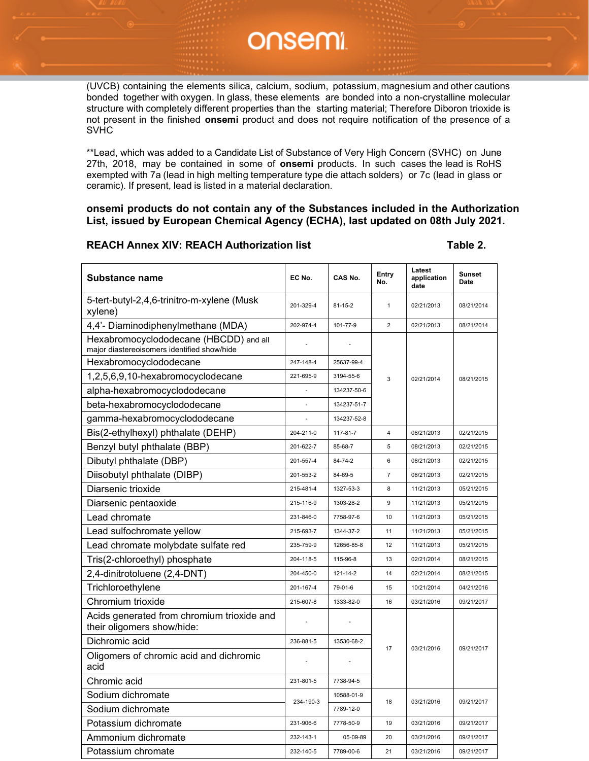(UVCB) containing the elements silica, calcium, sodium, potassium, magnesium and other cautions bonded together with oxygen. In glass, these elements are bonded into a non-crystalline molecular structure with completely different properties than the starting material; Therefore Diboron trioxide is not present in the finished **onsemi** product and does not require notification of the presence of a SVHC

\*\*Lead, which was added to a Candidate List of Substance of Very High Concern (SVHC) on June 27th, 2018, may be contained in some of **onsemi** products. In such cases the lead is RoHS exempted with 7a (lead in high melting temperature type die attach solders) or 7c (lead in glass or ceramic). If present, lead is listed in a material declaration.

**onsemi products do not contain any of the Substances included in the Authorization List, issued by European Chemical Agency (ECHA), last updated on 08th July 2021.**

#### **REACH Annex XIV: REACH Authorization list Table 2.**

| <b>Substance name</b>                                                                 | EC No.    | CAS No.       | Entry<br>No.   | Latest<br>application<br>date | <b>Sunset</b><br><b>Date</b> |
|---------------------------------------------------------------------------------------|-----------|---------------|----------------|-------------------------------|------------------------------|
| 5-tert-butyl-2,4,6-trinitro-m-xylene (Musk<br>xylene)                                 | 201-329-4 | $81 - 15 - 2$ | $\mathbf{1}$   | 02/21/2013                    | 08/21/2014                   |
| 4,4'- Diaminodiphenylmethane (MDA)                                                    | 202-974-4 | 101-77-9      | $\overline{2}$ | 02/21/2013                    | 08/21/2014                   |
| Hexabromocyclododecane (HBCDD) and all<br>major diastereoisomers identified show/hide |           |               |                |                               |                              |
| Hexabromocyclododecane                                                                | 247-148-4 | 25637-99-4    |                |                               |                              |
| 1,2,5,6,9,10-hexabromocyclodecane                                                     | 221-695-9 | 3194-55-6     | 3              | 02/21/2014                    | 08/21/2015                   |
| alpha-hexabromocyclododecane                                                          |           | 134237-50-6   |                |                               |                              |
| beta-hexabromocyclododecane                                                           |           | 134237-51-7   |                |                               |                              |
| gamma-hexabromocyclododecane                                                          |           | 134237-52-8   |                |                               |                              |
| Bis(2-ethylhexyl) phthalate (DEHP)                                                    | 204-211-0 | 117-81-7      | $\overline{4}$ | 08/21/2013                    | 02/21/2015                   |
| Benzyl butyl phthalate (BBP)                                                          | 201-622-7 | 85-68-7       | 5              | 08/21/2013                    | 02/21/2015                   |
| Dibutyl phthalate (DBP)                                                               | 201-557-4 | 84-74-2       | 6              | 08/21/2013                    | 02/21/2015                   |
| Diisobutyl phthalate (DIBP)                                                           | 201-553-2 | 84-69-5       | $\overline{7}$ | 08/21/2013                    | 02/21/2015                   |
| Diarsenic trioxide                                                                    | 215-481-4 | 1327-53-3     | 8              | 11/21/2013                    | 05/21/2015                   |
| Diarsenic pentaoxide                                                                  | 215-116-9 | 1303-28-2     | 9              | 11/21/2013                    | 05/21/2015                   |
| Lead chromate                                                                         | 231-846-0 | 7758-97-6     | 10             | 11/21/2013                    | 05/21/2015                   |
| Lead sulfochromate yellow                                                             | 215-693-7 | 1344-37-2     | 11             | 11/21/2013                    | 05/21/2015                   |
| Lead chromate molybdate sulfate red                                                   | 235-759-9 | 12656-85-8    | 12             | 11/21/2013                    | 05/21/2015                   |
| Tris(2-chloroethyl) phosphate                                                         | 204-118-5 | 115-96-8      | 13             | 02/21/2014                    | 08/21/2015                   |
| 2,4-dinitrotoluene (2,4-DNT)                                                          | 204-450-0 | 121-14-2      | 14             | 02/21/2014                    | 08/21/2015                   |
| Trichloroethylene                                                                     | 201-167-4 | 79-01-6       | 15             | 10/21/2014                    | 04/21/2016                   |
| Chromium trioxide                                                                     | 215-607-8 | 1333-82-0     | 16             | 03/21/2016                    | 09/21/2017                   |
| Acids generated from chromium trioxide and<br>their oligomers show/hide:              |           |               |                |                               |                              |
| Dichromic acid                                                                        | 236-881-5 | 13530-68-2    |                |                               |                              |
| Oligomers of chromic acid and dichromic<br>acid                                       |           |               | 17             | 03/21/2016                    | 09/21/2017                   |
| Chromic acid                                                                          | 231-801-5 | 7738-94-5     |                |                               |                              |
| Sodium dichromate                                                                     | 234-190-3 | 10588-01-9    | 18             | 03/21/2016                    | 09/21/2017                   |
| Sodium dichromate                                                                     |           | 7789-12-0     |                |                               |                              |
| Potassium dichromate                                                                  | 231-906-6 | 7778-50-9     | 19             | 03/21/2016                    | 09/21/2017                   |
| Ammonium dichromate                                                                   | 232-143-1 | 05-09-89      | 20             | 03/21/2016                    | 09/21/2017                   |
| Potassium chromate                                                                    | 232-140-5 | 7789-00-6     | 21             | 03/21/2016                    | 09/21/2017                   |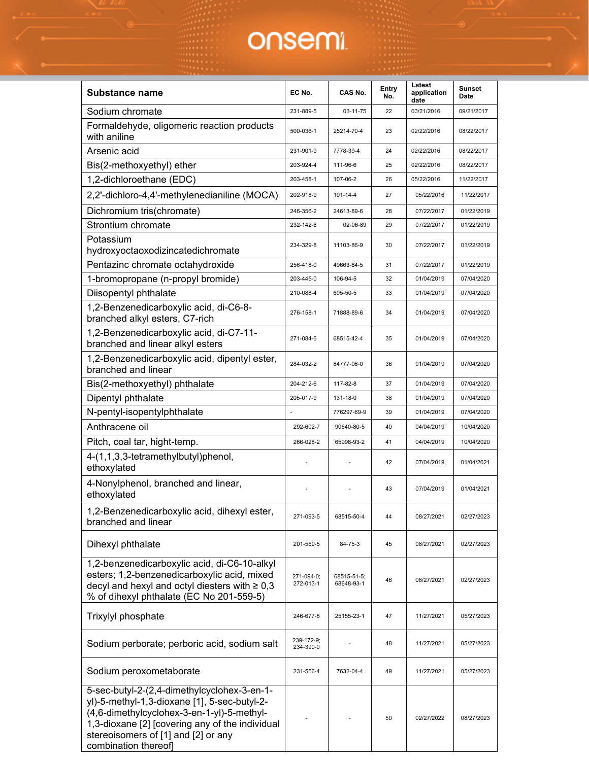| <b>Substance name</b>                                                                                                                                                                                                                                      | EC No.                  | CAS No.                   | Entry<br>No. | Latest<br>application<br>date | <b>Sunset</b><br><b>Date</b> |
|------------------------------------------------------------------------------------------------------------------------------------------------------------------------------------------------------------------------------------------------------------|-------------------------|---------------------------|--------------|-------------------------------|------------------------------|
| Sodium chromate                                                                                                                                                                                                                                            | 231-889-5               | 03-11-75                  | 22           | 03/21/2016                    | 09/21/2017                   |
| Formaldehyde, oligomeric reaction products<br>with aniline                                                                                                                                                                                                 | 500-036-1               | 25214-70-4                | 23           | 02/22/2016                    | 08/22/2017                   |
| Arsenic acid                                                                                                                                                                                                                                               | 231-901-9               | 7778-39-4                 | 24           | 02/22/2016                    | 08/22/2017                   |
| Bis(2-methoxyethyl) ether                                                                                                                                                                                                                                  | 203-924-4               | 111-96-6                  | 25           | 02/22/2016                    | 08/22/2017                   |
| 1,2-dichloroethane (EDC)                                                                                                                                                                                                                                   | 203-458-1               | 107-06-2                  | 26           | 05/22/2016                    | 11/22/2017                   |
| 2,2'-dichloro-4,4'-methylenedianiline (MOCA)                                                                                                                                                                                                               | 202-918-9               | 101-14-4                  | 27           | 05/22/2016                    | 11/22/2017                   |
| Dichromium tris(chromate)                                                                                                                                                                                                                                  | 246-356-2               | 24613-89-6                | 28           | 07/22/2017                    | 01/22/2019                   |
| Strontium chromate                                                                                                                                                                                                                                         | 232-142-6               | 02-06-89                  | 29           | 07/22/2017                    | 01/22/2019                   |
| Potassium                                                                                                                                                                                                                                                  | 234-329-8               | 11103-86-9                | 30           | 07/22/2017                    | 01/22/2019                   |
| hydroxyoctaoxodizincatedichromate                                                                                                                                                                                                                          |                         |                           |              |                               |                              |
| Pentazinc chromate octahydroxide                                                                                                                                                                                                                           | 256-418-0               | 49663-84-5                | 31           | 07/22/2017                    | 01/22/2019                   |
| 1-bromopropane (n-propyl bromide)                                                                                                                                                                                                                          | 203-445-0               | 106-94-5                  | 32           | 01/04/2019                    | 07/04/2020                   |
| Diisopentyl phthalate                                                                                                                                                                                                                                      | 210-088-4               | 605-50-5                  | 33           | 01/04/2019                    | 07/04/2020                   |
| 1,2-Benzenedicarboxylic acid, di-C6-8-<br>branched alkyl esters, C7-rich                                                                                                                                                                                   | 276-158-1               | 71888-89-6                | 34           | 01/04/2019                    | 07/04/2020                   |
| 1,2-Benzenedicarboxylic acid, di-C7-11-<br>branched and linear alkyl esters                                                                                                                                                                                | 271-084-6               | 68515-42-4                | 35           | 01/04/2019                    | 07/04/2020                   |
| 1,2-Benzenedicarboxylic acid, dipentyl ester,<br>branched and linear                                                                                                                                                                                       | 284-032-2               | 84777-06-0                | 36           | 01/04/2019                    | 07/04/2020                   |
| Bis(2-methoxyethyl) phthalate                                                                                                                                                                                                                              | 204-212-6               | 117-82-8                  | 37           | 01/04/2019                    | 07/04/2020                   |
| Dipentyl phthalate                                                                                                                                                                                                                                         | 205-017-9               | 131-18-0                  | 38           | 01/04/2019                    | 07/04/2020                   |
| N-pentyl-isopentylphthalate                                                                                                                                                                                                                                |                         | 776297-69-9               | 39           | 01/04/2019                    | 07/04/2020                   |
| Anthracene oil                                                                                                                                                                                                                                             | 292-602-7               | 90640-80-5                | 40           | 04/04/2019                    | 10/04/2020                   |
| Pitch, coal tar, hight-temp.                                                                                                                                                                                                                               | 266-028-2               | 65996-93-2                | 41           | 04/04/2019                    | 10/04/2020                   |
| 4-(1,1,3,3-tetramethylbutyl)phenol,<br>ethoxylated                                                                                                                                                                                                         |                         |                           | 42           | 07/04/2019                    | 01/04/2021                   |
| 4-Nonylphenol, branched and linear,<br>ethoxylated                                                                                                                                                                                                         |                         |                           | 43           | 07/04/2019                    | 01/04/2021                   |
| 1,2-Benzenedicarboxylic acid, dihexyl ester,<br>branched and linear                                                                                                                                                                                        | 271-093-5               | 68515-50-4                | 44           | 08/27/2021                    | 02/27/2023                   |
| Dihexyl phthalate                                                                                                                                                                                                                                          | 201-559-5               | 84-75-3                   | 45           | 08/27/2021                    | 02/27/2023                   |
| 1,2-benzenedicarboxylic acid, di-C6-10-alkyl<br>esters; 1,2-benzenedicarboxylic acid, mixed<br>decyl and hexyl and octyl diesters with $\geq 0.3$<br>% of dihexyl phthalate (EC No 201-559-5)                                                              | 271-094-0;<br>272-013-1 | 68515-51-5;<br>68648-93-1 | 46           | 08/27/2021                    | 02/27/2023                   |
| Trixylyl phosphate                                                                                                                                                                                                                                         | 246-677-8               | 25155-23-1                | 47           | 11/27/2021                    | 05/27/2023                   |
| Sodium perborate; perboric acid, sodium salt                                                                                                                                                                                                               | 239-172-9;<br>234-390-0 |                           | 48           | 11/27/2021                    | 05/27/2023                   |
| Sodium peroxometaborate                                                                                                                                                                                                                                    | 231-556-4               | 7632-04-4                 | 49           | 11/27/2021                    | 05/27/2023                   |
| 5-sec-butyl-2-(2,4-dimethylcyclohex-3-en-1-<br>yl)-5-methyl-1,3-dioxane [1], 5-sec-butyl-2-<br>(4,6-dimethylcyclohex-3-en-1-yl)-5-methyl-<br>1,3-dioxane [2] [covering any of the individual<br>stereoisomers of [1] and [2] or any<br>combination thereof |                         |                           | 50           | 02/27/2022                    | 08/27/2023                   |